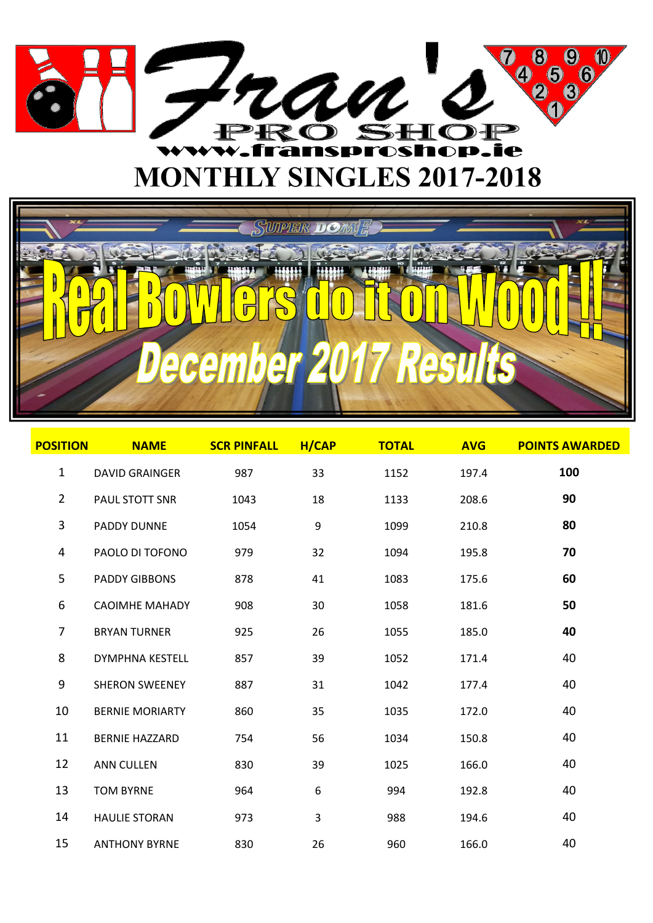



| <b>POSITION</b>  | <b>NAME</b>            | <b>SCR PINFALL</b> | H/CAP        | <b>TOTAL</b> | <b>AVG</b> | <b>POINTS AWARDED</b> |
|------------------|------------------------|--------------------|--------------|--------------|------------|-----------------------|
| $\mathbf{1}$     | <b>DAVID GRAINGER</b>  | 987                | 33           | 1152         | 197.4      | 100                   |
| $\overline{2}$   | PAUL STOTT SNR         | 1043               | 18           | 1133         | 208.6      | 90                    |
| $\mathbf{3}$     | PADDY DUNNE            | 1054               | 9            | 1099         | 210.8      | 80                    |
| 4                | PAOLO DI TOFONO        | 979                | 32           | 1094         | 195.8      | 70                    |
| 5                | <b>PADDY GIBBONS</b>   | 878                | 41           | 1083         | 175.6      | 60                    |
| 6                | <b>CAOIMHE MAHADY</b>  | 908                | 30           | 1058         | 181.6      | 50                    |
| 7                | <b>BRYAN TURNER</b>    | 925                | 26           | 1055         | 185.0      | 40                    |
| 8                | <b>DYMPHNA KESTELL</b> | 857                | 39           | 1052         | 171.4      | 40                    |
| $\boldsymbol{9}$ | <b>SHERON SWEENEY</b>  | 887                | 31           | 1042         | 177.4      | 40                    |
| 10               | <b>BERNIE MORIARTY</b> | 860                | 35           | 1035         | 172.0      | 40                    |
| 11               | <b>BERNIE HAZZARD</b>  | 754                | 56           | 1034         | 150.8      | 40                    |
| 12               | <b>ANN CULLEN</b>      | 830                | 39           | 1025         | 166.0      | 40                    |
| 13               | <b>TOM BYRNE</b>       | 964                | 6            | 994          | 192.8      | 40                    |
| 14               | <b>HAULIE STORAN</b>   | 973                | $\mathsf{3}$ | 988          | 194.6      | 40                    |
| 15               | <b>ANTHONY BYRNE</b>   | 830                | 26           | 960          | 166.0      | 40                    |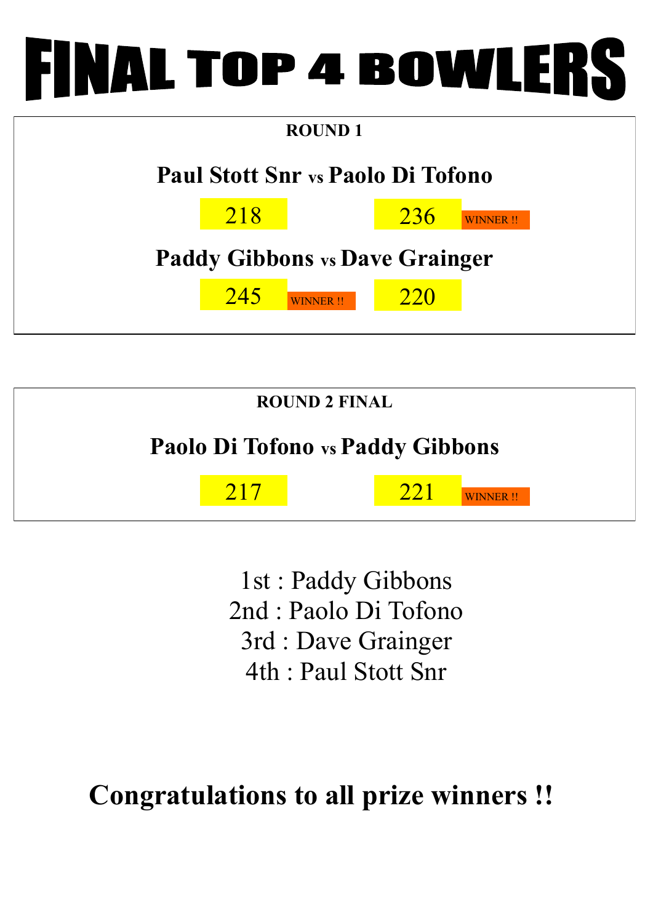

| <b>Paul Stott Snr vs Paolo Di Tofono</b> |  |
|------------------------------------------|--|
|                                          |  |
| 218<br>236<br><b>WINNER!!</b>            |  |
| <b>Paddy Gibbons vs Dave Grainger</b>    |  |
| 245<br>220<br><b>WINNER!!</b>            |  |



1st : Paddy Gibbons 2nd : Paolo Di Tofono 3rd : Dave Grainger 4th : Paul Stott Snr

## **Congratulations to all prize winners !!**